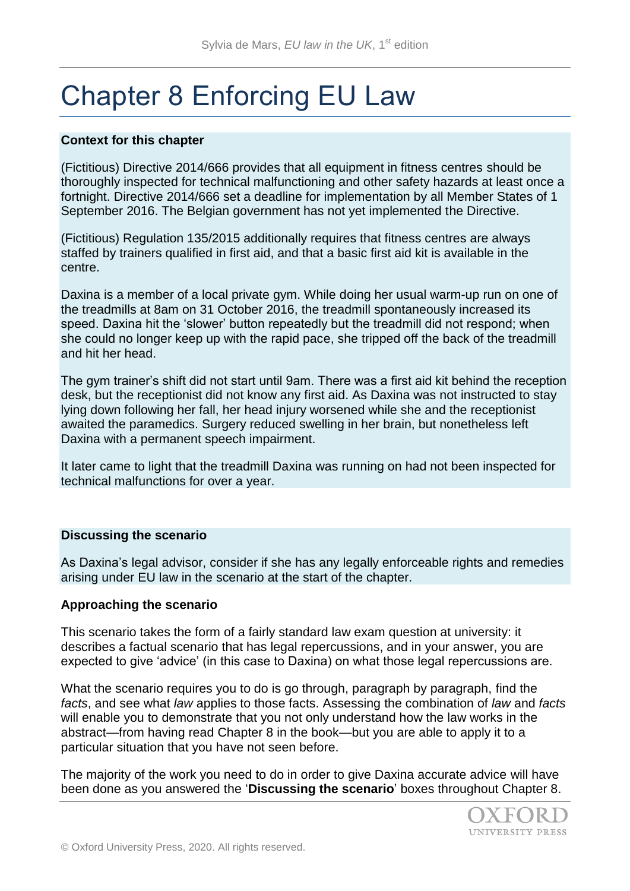# Chapter 8 Enforcing EU Law

## **Context for this chapter**

(Fictitious) Directive 2014/666 provides that all equipment in fitness centres should be thoroughly inspected for technical malfunctioning and other safety hazards at least once a fortnight. Directive 2014/666 set a deadline for implementation by all Member States of 1 September 2016. The Belgian government has not yet implemented the Directive.

(Fictitious) Regulation 135/2015 additionally requires that fitness centres are always staffed by trainers qualified in first aid, and that a basic first aid kit is available in the centre.

Daxina is a member of a local private gym. While doing her usual warm-up run on one of the treadmills at 8am on 31 October 2016, the treadmill spontaneously increased its speed. Daxina hit the 'slower' button repeatedly but the treadmill did not respond; when she could no longer keep up with the rapid pace, she tripped off the back of the treadmill and hit her head.

The gym trainer's shift did not start until 9am. There was a first aid kit behind the reception desk, but the receptionist did not know any first aid. As Daxina was not instructed to stay lying down following her fall, her head injury worsened while she and the receptionist awaited the paramedics. Surgery reduced swelling in her brain, but nonetheless left Daxina with a permanent speech impairment.

It later came to light that the treadmill Daxina was running on had not been inspected for technical malfunctions for over a year.

### **Discussing the scenario**

As Daxina's legal advisor, consider if she has any legally enforceable rights and remedies arising under EU law in the scenario at the start of the chapter.

### **Approaching the scenario**

This scenario takes the form of a fairly standard law exam question at university: it describes a factual scenario that has legal repercussions, and in your answer, you are expected to give 'advice' (in this case to Daxina) on what those legal repercussions are.

What the scenario requires you to do is go through, paragraph by paragraph, find the *facts*, and see what *law* applies to those facts. Assessing the combination of *law* and *facts*  will enable you to demonstrate that you not only understand how the law works in the abstract—from having read Chapter 8 in the book—but you are able to apply it to a particular situation that you have not seen before.

The majority of the work you need to do in order to give Daxina accurate advice will have been done as you answered the '**Discussing the scenario**' boxes throughout Chapter 8.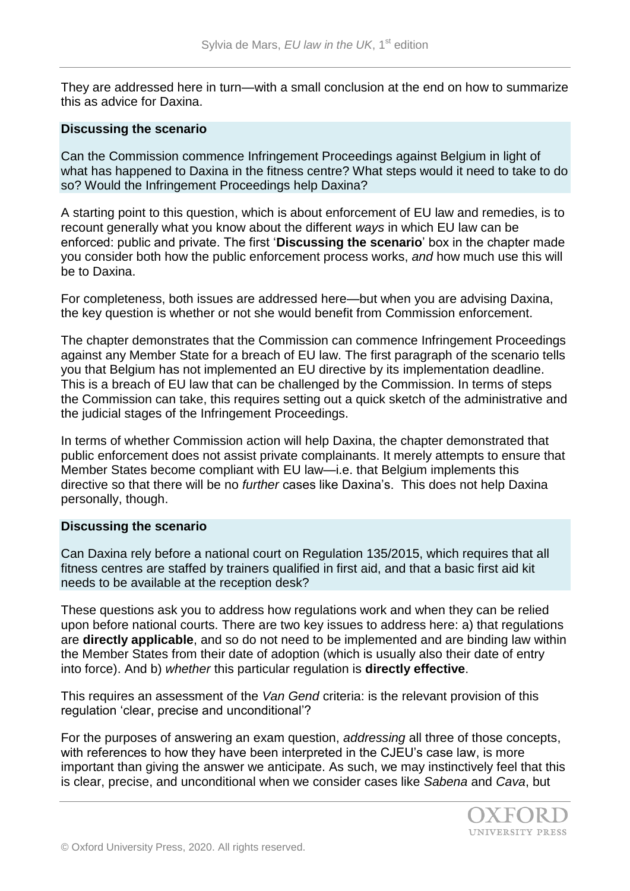They are addressed here in turn—with a small conclusion at the end on how to summarize this as advice for Daxina.

### **Discussing the scenario**

Can the Commission commence Infringement Proceedings against Belgium in light of what has happened to Daxina in the fitness centre? What steps would it need to take to do so? Would the Infringement Proceedings help Daxina?

A starting point to this question, which is about enforcement of EU law and remedies, is to recount generally what you know about the different *ways* in which EU law can be enforced: public and private. The first '**Discussing the scenario**' box in the chapter made you consider both how the public enforcement process works, *and* how much use this will be to Daxina.

For completeness, both issues are addressed here—but when you are advising Daxina, the key question is whether or not she would benefit from Commission enforcement.

The chapter demonstrates that the Commission can commence Infringement Proceedings against any Member State for a breach of EU law. The first paragraph of the scenario tells you that Belgium has not implemented an EU directive by its implementation deadline. This is a breach of EU law that can be challenged by the Commission. In terms of steps the Commission can take, this requires setting out a quick sketch of the administrative and the judicial stages of the Infringement Proceedings.

In terms of whether Commission action will help Daxina, the chapter demonstrated that public enforcement does not assist private complainants. It merely attempts to ensure that Member States become compliant with EU law—i.e. that Belgium implements this directive so that there will be no *further* cases like Daxina's. This does not help Daxina personally, though.

### **Discussing the scenario**

Can Daxina rely before a national court on Regulation 135/2015, which requires that all fitness centres are staffed by trainers qualified in first aid, and that a basic first aid kit needs to be available at the reception desk?

These questions ask you to address how regulations work and when they can be relied upon before national courts. There are two key issues to address here: a) that regulations are **directly applicable**, and so do not need to be implemented and are binding law within the Member States from their date of adoption (which is usually also their date of entry into force). And b) *whether* this particular regulation is **directly effective**.

This requires an assessment of the *Van Gend* criteria: is the relevant provision of this regulation 'clear, precise and unconditional'?

For the purposes of answering an exam question, *addressing* all three of those concepts, with references to how they have been interpreted in the CJEU's case law, is more important than giving the answer we anticipate. As such, we may instinctively feel that this is clear, precise, and unconditional when we consider cases like *Sabena* and *Cava*, but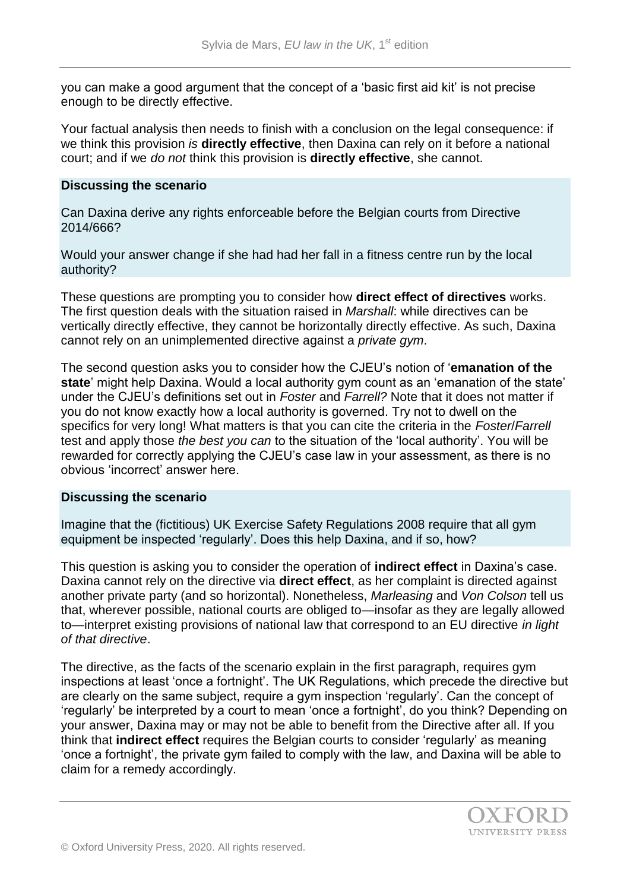you can make a good argument that the concept of a 'basic first aid kit' is not precise enough to be directly effective.

Your factual analysis then needs to finish with a conclusion on the legal consequence: if we think this provision *is* **directly effective**, then Daxina can rely on it before a national court; and if we *do not* think this provision is **directly effective**, she cannot.

#### **Discussing the scenario**

Can Daxina derive any rights enforceable before the Belgian courts from Directive 2014/666?

Would your answer change if she had had her fall in a fitness centre run by the local authority?

These questions are prompting you to consider how **direct effect of directives** works. The first question deals with the situation raised in *Marshall*: while directives can be vertically directly effective, they cannot be horizontally directly effective. As such, Daxina cannot rely on an unimplemented directive against a *private gym*.

The second question asks you to consider how the CJEU's notion of '**emanation of the state**' might help Daxina. Would a local authority gym count as an 'emanation of the state' under the CJEU's definitions set out in *Foster* and *Farrell?* Note that it does not matter if you do not know exactly how a local authority is governed. Try not to dwell on the specifics for very long! What matters is that you can cite the criteria in the *Foster*/*Farrell*  test and apply those *the best you can* to the situation of the 'local authority'. You will be rewarded for correctly applying the CJEU's case law in your assessment, as there is no obvious 'incorrect' answer here.

### **Discussing the scenario**

Imagine that the (fictitious) UK Exercise Safety Regulations 2008 require that all gym equipment be inspected 'regularly'. Does this help Daxina, and if so, how?

This question is asking you to consider the operation of **indirect effect** in Daxina's case. Daxina cannot rely on the directive via **direct effect**, as her complaint is directed against another private party (and so horizontal). Nonetheless, *Marleasing* and *Von Colson* tell us that, wherever possible, national courts are obliged to—insofar as they are legally allowed to—interpret existing provisions of national law that correspond to an EU directive *in light of that directive*.

The directive, as the facts of the scenario explain in the first paragraph, requires gym inspections at least 'once a fortnight'. The UK Regulations, which precede the directive but are clearly on the same subject, require a gym inspection 'regularly'. Can the concept of 'regularly' be interpreted by a court to mean 'once a fortnight', do you think? Depending on your answer, Daxina may or may not be able to benefit from the Directive after all. If you think that **indirect effect** requires the Belgian courts to consider 'regularly' as meaning 'once a fortnight', the private gym failed to comply with the law, and Daxina will be able to claim for a remedy accordingly.

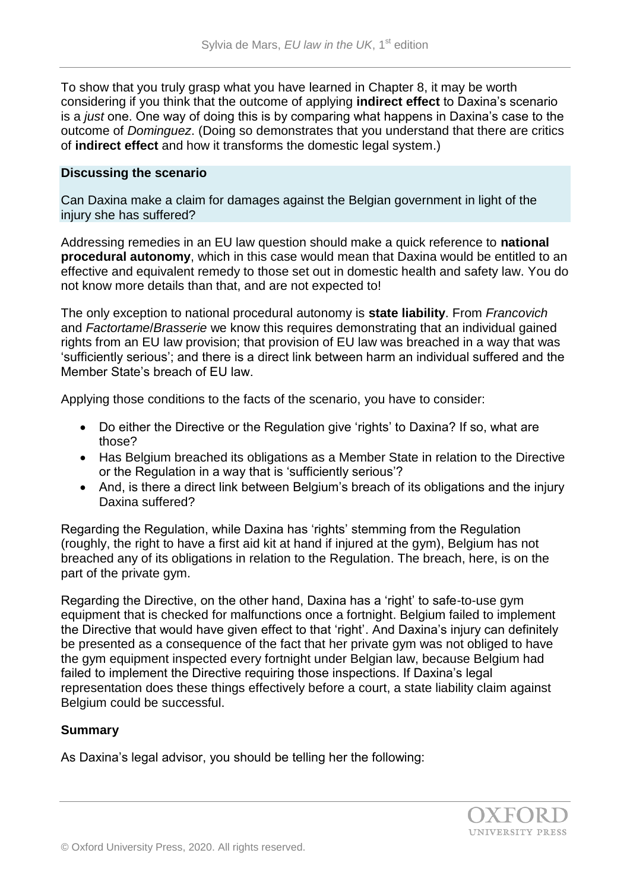To show that you truly grasp what you have learned in Chapter 8, it may be worth considering if you think that the outcome of applying **indirect effect** to Daxina's scenario is a *just* one. One way of doing this is by comparing what happens in Daxina's case to the outcome of *Dominguez*. (Doing so demonstrates that you understand that there are critics of **indirect effect** and how it transforms the domestic legal system.)

### **Discussing the scenario**

Can Daxina make a claim for damages against the Belgian government in light of the injury she has suffered?

Addressing remedies in an EU law question should make a quick reference to **national procedural autonomy**, which in this case would mean that Daxina would be entitled to an effective and equivalent remedy to those set out in domestic health and safety law. You do not know more details than that, and are not expected to!

The only exception to national procedural autonomy is **state liability**. From *Francovich* and *Factortame*/*Brasserie* we know this requires demonstrating that an individual gained rights from an EU law provision; that provision of EU law was breached in a way that was 'sufficiently serious'; and there is a direct link between harm an individual suffered and the Member State's breach of EU law.

Applying those conditions to the facts of the scenario, you have to consider:

- Do either the Directive or the Regulation give 'rights' to Daxina? If so, what are those?
- Has Belgium breached its obligations as a Member State in relation to the Directive or the Regulation in a way that is 'sufficiently serious'?
- And, is there a direct link between Belgium's breach of its obligations and the injury Daxina suffered?

Regarding the Regulation, while Daxina has 'rights' stemming from the Regulation (roughly, the right to have a first aid kit at hand if injured at the gym), Belgium has not breached any of its obligations in relation to the Regulation. The breach, here, is on the part of the private gym.

Regarding the Directive, on the other hand, Daxina has a 'right' to safe-to-use gym equipment that is checked for malfunctions once a fortnight. Belgium failed to implement the Directive that would have given effect to that 'right'. And Daxina's injury can definitely be presented as a consequence of the fact that her private gym was not obliged to have the gym equipment inspected every fortnight under Belgian law, because Belgium had failed to implement the Directive requiring those inspections. If Daxina's legal representation does these things effectively before a court, a state liability claim against Belgium could be successful.

### **Summary**

As Daxina's legal advisor, you should be telling her the following: